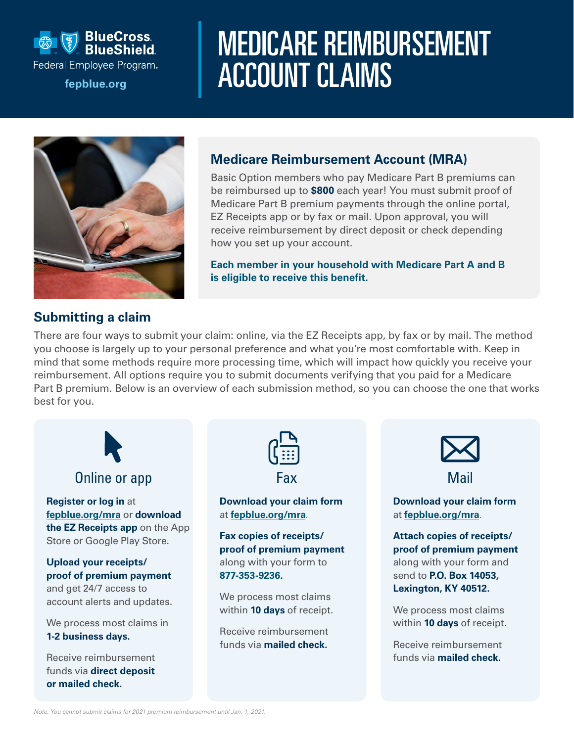

# MEDICARE REIMBURSEMENT Federal Employee Program.<br>**[fepblue.org](http://fepblue.org) ACCOUNT CLAIMS**



### **Medicare Reimbursement Account (MRA)**

Basic Option members who pay Medicare Part B premiums can be reimbursed up to **\$800** each year! You must submit proof of Medicare Part B premium payments through the online portal, EZ Receipts app or by fax or mail. Upon approval, you will receive reimbursement by direct deposit or check depending how you set up your account.

**Each member in your household with Medicare Part A and B is eligible to receive this benefit.**

#### **Submitting a claim**

There are four ways to submit your claim: online, via the EZ Receipts app, by fax or by mail. The method you choose is largely up to your personal preference and what you're most comfortable with. Keep in mind that some methods require more processing time, which will impact how quickly you receive your reimbursement. All options require you to submit documents verifying that you paid for a Medicare Part B premium. Below is an overview of each submission method, so you can choose the one that works best for you.



## Online or app

**Register or log in** at **[fepblue.org/mra](http://fepblue.org/mra)** or **download the EZ Receipts app** on the App Store or Google Play Store.

**Upload your receipts/ proof of premium payment** and get 24/7 access to account alerts and updates.

We process most claims in **1-2 business days.**

Receive reimbursement funds via **direct deposit or mailed check.**



**Download your claim form** at **[fepblue.org/mra](http://fepblue.org/mra)**.

**Fax copies of receipts/ proof of premium payment** along with your form to **877-353-9236.**

We process most claims within **10 days** of receipt.

Receive reimbursement funds via **mailed check.**



Mail

**Download your claim form** at **[fepblue.org/mra](http://fepblue.org/mra)**.

**Attach copies of receipts/ proof of premium payment** along with your form and send to **P.O. Box 14053, Lexington, KY 40512.**

We process most claims within **10 days** of receipt.

Receive reimbursement funds via **mailed check.**